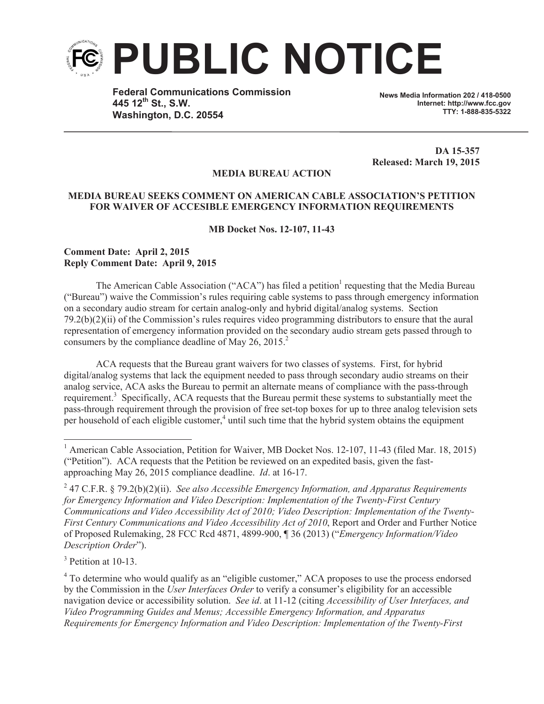

**Federal Communications Commission 445 12th St., S.W. Washington, D.C. 20554**

**News Media Information 202 / 418-0500 Internet: http://www.fcc.gov TTY: 1-888-835-5322**

**DA 15-357 Released: March 19, 2015**

## **MEDIA BUREAU ACTION**

## **MEDIA BUREAU SEEKS COMMENT ON AMERICAN CABLE ASSOCIATION'S PETITION FOR WAIVER OF ACCESIBLE EMERGENCY INFORMATION REQUIREMENTS**

## **MB Docket Nos. 12-107, 11-43**

## **Comment Date: April 2, 2015 Reply Comment Date: April 9, 2015**

The American Cable Association ("ACA") has filed a petition<sup>1</sup> requesting that the Media Bureau ("Bureau") waive the Commission's rules requiring cable systems to pass through emergency information on a secondary audio stream for certain analog-only and hybrid digital/analog systems. Section 79.2(b)(2)(ii) of the Commission's rules requires video programming distributors to ensure that the aural representation of emergency information provided on the secondary audio stream gets passed through to consumers by the compliance deadline of May 26, 2015.<sup>2</sup>

ACA requests that the Bureau grant waivers for two classes of systems. First, for hybrid digital/analog systems that lack the equipment needed to pass through secondary audio streams on their analog service, ACA asks the Bureau to permit an alternate means of compliance with the pass-through requirement.<sup>3</sup> Specifically, ACA requests that the Bureau permit these systems to substantially meet the pass-through requirement through the provision of free set-top boxes for up to three analog television sets per household of each eligible customer,<sup>4</sup> until such time that the hybrid system obtains the equipment

<sup>3</sup> Petition at 10-13.

<sup>4</sup> To determine who would qualify as an "eligible customer," ACA proposes to use the process endorsed by the Commission in the *User Interfaces Order* to verify a consumer's eligibility for an accessible navigation device or accessibility solution. *See id*. at 11-12 (citing *Accessibility of User Interfaces, and Video Programming Guides and Menus; Accessible Emergency Information, and Apparatus Requirements for Emergency Information and Video Description: Implementation of the Twenty-First* 

<sup>&</sup>lt;sup>1</sup> American Cable Association, Petition for Waiver, MB Docket Nos. 12-107, 11-43 (filed Mar. 18, 2015) ("Petition"). ACA requests that the Petition be reviewed on an expedited basis, given the fastapproaching May 26, 2015 compliance deadline. *Id*. at 16-17.

<sup>2</sup> 47 C.F.R. § 79.2(b)(2)(ii). *See also Accessible Emergency Information, and Apparatus Requirements for Emergency Information and Video Description: Implementation of the Twenty-First Century Communications and Video Accessibility Act of 2010; Video Description: Implementation of the Twenty-First Century Communications and Video Accessibility Act of 2010*, Report and Order and Further Notice of Proposed Rulemaking, 28 FCC Rcd 4871, 4899-900, ¶ 36 (2013) ("*Emergency Information/Video Description Order*").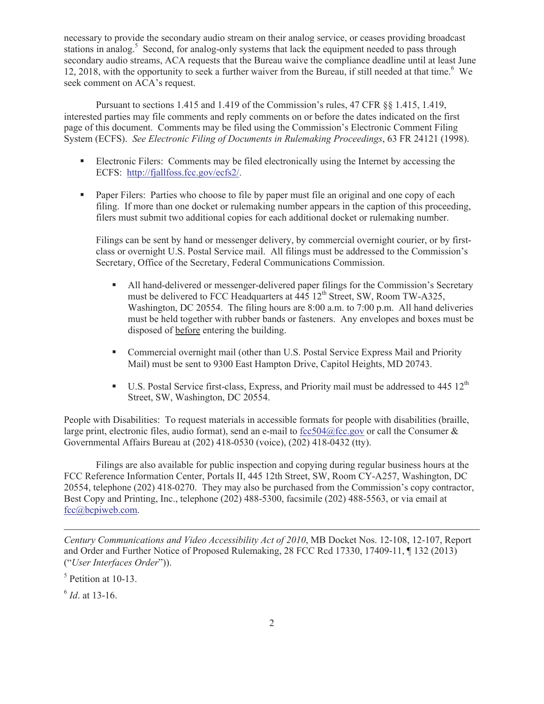necessary to provide the secondary audio stream on their analog service, or ceases providing broadcast stations in analog.<sup>5</sup> Second, for analog-only systems that lack the equipment needed to pass through secondary audio streams, ACA requests that the Bureau waive the compliance deadline until at least June 12, 2018, with the opportunity to seek a further waiver from the Bureau, if still needed at that time.<sup>6</sup> We seek comment on ACA's request.

Pursuant to sections 1.415 and 1.419 of the Commission's rules, 47 CFR §§ 1.415, 1.419, interested parties may file comments and reply comments on or before the dates indicated on the first page of this document. Comments may be filed using the Commission's Electronic Comment Filing System (ECFS). *See Electronic Filing of Documents in Rulemaking Proceedings*, 63 FR 24121 (1998).

- Electronic Filers: Comments may be filed electronically using the Internet by accessing the ECFS: http://fjallfoss.fcc.gov/ecfs2/.
- Paper Filers: Parties who choose to file by paper must file an original and one copy of each filing. If more than one docket or rulemaking number appears in the caption of this proceeding, filers must submit two additional copies for each additional docket or rulemaking number.

Filings can be sent by hand or messenger delivery, by commercial overnight courier, or by firstclass or overnight U.S. Postal Service mail. All filings must be addressed to the Commission's Secretary, Office of the Secretary, Federal Communications Commission.

- All hand-delivered or messenger-delivered paper filings for the Commission's Secretary must be delivered to FCC Headquarters at  $\frac{445}{12}$ <sup>th</sup> Street, SW, Room TW-A325, Washington, DC 20554. The filing hours are 8:00 a.m. to 7:00 p.m. All hand deliveries must be held together with rubber bands or fasteners. Any envelopes and boxes must be disposed of before entering the building.
- Commercial overnight mail (other than U.S. Postal Service Express Mail and Priority Mail) must be sent to 9300 East Hampton Drive, Capitol Heights, MD 20743.
- **•** U.S. Postal Service first-class, Express, and Priority mail must be addressed to 445  $12<sup>th</sup>$ Street, SW, Washington, DC 20554.

People with Disabilities: To request materials in accessible formats for people with disabilities (braille, large print, electronic files, audio format), send an e-mail to fcc504@fcc.gov or call the Consumer  $\&$ Governmental Affairs Bureau at (202) 418-0530 (voice), (202) 418-0432 (tty).

Filings are also available for public inspection and copying during regular business hours at the FCC Reference Information Center, Portals II, 445 12th Street, SW, Room CY-A257, Washington, DC 20554, telephone (202) 418-0270. They may also be purchased from the Commission's copy contractor, Best Copy and Printing, Inc., telephone (202) 488-5300, facsimile (202) 488-5563, or via email at fcc@bcpiweb.com.

*Century Communications and Video Accessibility Act of 2010*, MB Docket Nos. 12-108, 12-107, Report and Order and Further Notice of Proposed Rulemaking, 28 FCC Rcd 17330, 17409-11, ¶ 132 (2013) ("*User Interfaces Order*")).

5 Petition at 10-13.

6 *Id*. at 13-16.